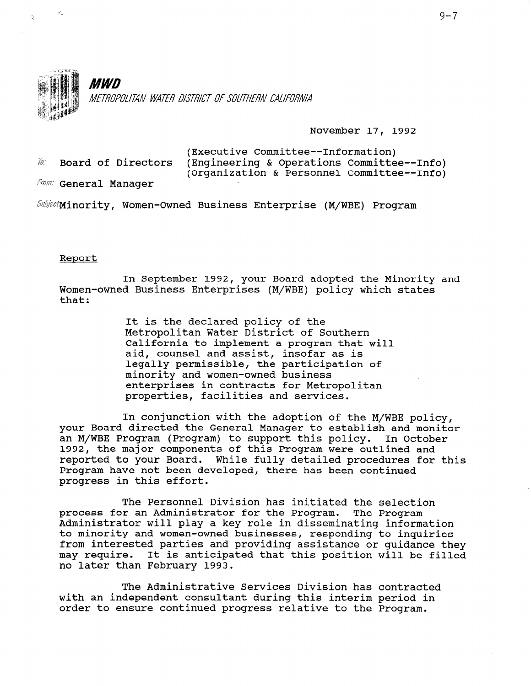

November 17, 1992

|                        | (Executive Committee--Information)         |
|------------------------|--------------------------------------------|
| Ta: Board of Directors | (Engineering & Operations Committee--Info) |
|                        | (Organization & Personnel Committee--Info) |
| From: General Manager  |                                            |

 $Subject$ Minority, Women-Owned Business Enterprise (M/WBE) Program

## Report

ä

In September 1992, your Board adopted the Minority and Women-owned Business Enterprises (M/WBE) policy which states that:

> It is the declared policy of the Metropolitan Water District of Southern California to implement a program that will aid, counsel and assist, insofar as is legally permissible, the participation of minority and women-owned business enterprises in contracts for Metropolitan properties, facilities and services.

In conjunction with the adoption of the M/WBE policy, your Board directed the General Manager to establish and monitor an M/WBE Program (Program) to support this policy. In October 1992, the major components of this Program were outlined and reported to your Board. While fully detailed procedures for this Program have not been developed, there has been continued program have not been

The Personnel Division has initiated the selection process for an Administrator for the Program.<br>The Program and Administrator for the Program. The Program process for an Administrator for the Program. The Program<br>Administrator will play a key role in dissemination informati Administrator will play a key fole in disseminating informat to minority and women-owned businesses, responding to inquiries from interested parties and providing assistance or guidance they may require. It is anticipated that this position will be filled no later than February 1993.

 $\mathbf{F}$  and  $\mathbf{F}$  and  $\mathbf{F}$  is the administrative Services  $\mathbf{F}$  and  $\mathbf{F}$  and  $\mathbf{F}$  and  $\mathbf{F}$ The Administrative services Division has contracte with an independent consultant during this interim period in order to ensure continued progress relative to the Program.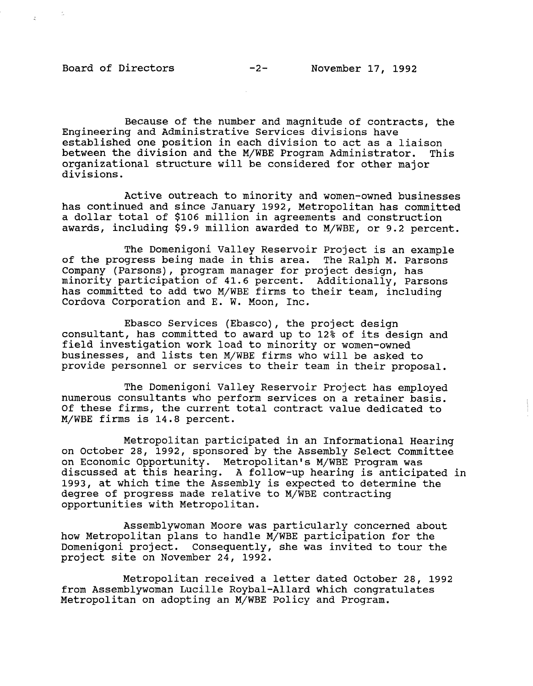Because of the number and magnitude of contracts, the Engineering and Administrative Services divisions have established one position in each division to act as a liaison between the division and the M/WBE Program Administrator. This organizational structure will be considered for other major divisions.

Active outreach to minority and women-owned businesses has continued and since January 1992, Metropolitan has committed a dollar total of \$106 million in agreements and construction awards, including \$9.9 million awarded to M/WBE, or 9.2 percent.

The Domenigoni Valley Reservoir Project is an example ine bomeniyoni valiey neservoli rioject is an examp<br>of the progress being made in this area. The Ralph M. Parson Company (Parsons), program manager for project design, has company (raisons), program manager for project design, nas<br>minority participation of 41.6 percent. Additionally, Parson minority participation of 41.0 percent. Additionally, Part has committed to add two M/WBE firms to their team, including Cordova Corporation and E. W. Moon, Inc.

Ebasco Services (Ebasco), the project design consultant to a consultant to a consultant up to a consultant up to 12% of its design and its design and its design consultant, has committed to award up to 12% of its des field investigation work load to minority or women-owned businesses, and lists ten M/WBE firms who will be asked to provide personnel or services to their team in their proposal.

The Domenigoni Valley Reservoir Project has employed The Domenigoni Valley Reservoir Project has employed numerous consultants who perform services on a retainer basis. Of these firms, the current total contract value dedicated to M/WBE firms is 14.8 percent.

Metropolitan participated in an Informational Hearing on October 28, 1992, sponsored by the Assembly Select Committee on Economic Opportunity. Metropolitan's M/WBE Program was discussed at this hearing. A follow-up hearing is anticipated in 1993, at which time the Assembly is expected to determine the degree of progress made relative to M/WBE contracting opportunities with Metropolitan.

Assemblywoman Moore was particularly concerned about how Metropolitan plans to handle M/WBE participation for the Domenigoni project. Consequently, she was invited to tour the project site on November 24, 1992.

Metropolitan received a letter dated October 28, 1992 from Assemblywoman Lucille Roybal-Allard which congratulates Metropolitan on adopting an M/WBE Policy and Program.